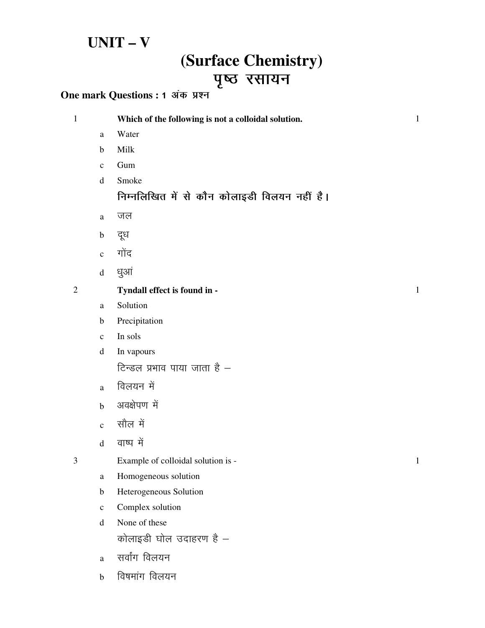### $UNIT - V$

# (Surface Chemistry) पृष्ठ रसायन

#### One mark Questions : 1 अंक प्रश्न

| $\mathbf{1}$   |              | Which of the following is not a colloidal solution. | $\mathbf 1$  |
|----------------|--------------|-----------------------------------------------------|--------------|
|                | a            | Water                                               |              |
|                | $\mathbf b$  | Milk                                                |              |
|                | $\mathbf c$  | Gum                                                 |              |
|                | $\mathbf d$  | Smoke                                               |              |
|                |              | निम्नलिखित में से कौन कोलाइडी विलयन नहीं है।        |              |
|                | a            | जल                                                  |              |
|                | $\mathbf b$  | दूध                                                 |              |
|                | $\mathbf{c}$ | गोंद                                                |              |
|                | $\mathbf d$  | धुआं                                                |              |
| $\overline{2}$ |              | Tyndall effect is found in -                        | $\mathbf{1}$ |
|                | a            | Solution                                            |              |
|                | b            | Precipitation                                       |              |
|                | $\mathbf c$  | In sols                                             |              |
|                | $\mathbf d$  | In vapours                                          |              |
|                |              | टिन्डल प्रभाव पाया जाता है $-$                      |              |
|                | $\mathbf{a}$ | विलयन में                                           |              |
|                | $\mathbf b$  | अवक्षेपण में                                        |              |
|                | $\mathbf{c}$ | सौल में                                             |              |
|                | $\mathbf d$  | वाष्प में                                           |              |
| 3              |              | Example of colloidal solution is -                  | $\mathbf{1}$ |
|                | a            | Homogeneous solution                                |              |
|                | b            | Heterogeneous Solution                              |              |
|                | $\mathbf c$  | Complex solution                                    |              |
|                | $\mathbf d$  | None of these                                       |              |
|                |              | कोलाइडी घोल उदाहरण है -                             |              |
|                | a            | सर्वांग विलयन                                       |              |
|                | $\mathbf b$  | विषमांग विलयन                                       |              |
|                |              |                                                     |              |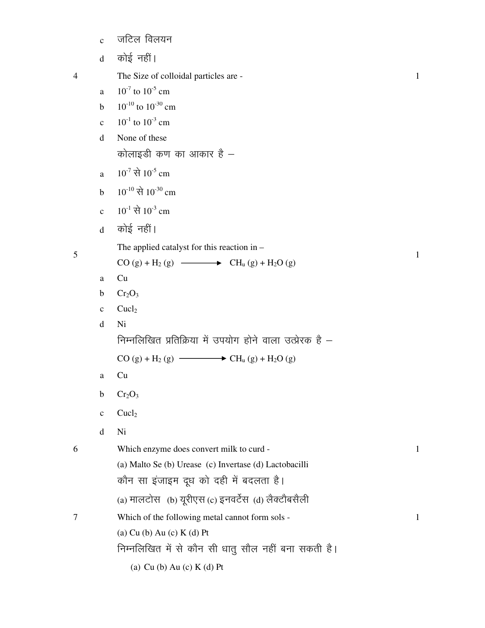|                | $\mathbf{C}$ | जटिल विलयन                                                |  |
|----------------|--------------|-----------------------------------------------------------|--|
|                | $\mathbf{d}$ | कोई नहीं।                                                 |  |
| $\overline{4}$ |              | The Size of colloidal particles are -                     |  |
|                | a            | $10^{-7}$ to $10^{-5}$ cm                                 |  |
|                | $\mathbf b$  | $10^{-10}$ to $10^{-30}$ cm                               |  |
|                | $\mathbf{C}$ | $10^{-1}$ to $10^{-3}$ cm                                 |  |
|                | d            | None of these                                             |  |
|                |              | कोलाइडी कण का आकार है –                                   |  |
|                | a            | $10^{-7}$ से $10^{-5}$ cm                                 |  |
|                | $\mathbf b$  | $10^{-10}$ से $10^{-30}$ cm                               |  |
|                | $\mathbf{c}$ | $10^{-1}$ से $10^{-3}$ cm                                 |  |
|                | $\mathbf d$  | कोई नहीं।                                                 |  |
|                |              | The applied catalyst for this reaction in $-$             |  |
| 5              |              | $CO(g) + H_2(g) \longrightarrow CH_u(g) + H_2O(g)$        |  |
|                | a            | Cu                                                        |  |
|                | $\mathbf b$  | Cr <sub>2</sub> O <sub>3</sub>                            |  |
|                | $\mathbf{C}$ | Cuch <sub>2</sub>                                         |  |
|                | d            | Ni                                                        |  |
|                |              | निम्नलिखित प्रतिक्रिया में उपयोग होने वाला उत्प्रेरक है – |  |
|                |              | $CO(g) + H_2(g)$ $\longrightarrow$ $CH_u(g) + H_2O(g)$    |  |
|                | a            | Cu                                                        |  |
|                | b            | $Cr_2O_3$                                                 |  |
|                | $\mathbf c$  | Cuel <sub>2</sub>                                         |  |
|                | d            | Ni                                                        |  |
| 6              |              | Which enzyme does convert milk to curd -                  |  |
|                |              | (a) Malto Se (b) Urease (c) Invertase (d) Lactobacilli    |  |
|                |              | कौन सा इंजाइम दूध को दही में बदलता है।                    |  |
|                |              | (a) मालटोस (b) यूरीएस (c) इनवर्टेस (d) लैक्टौबसैली        |  |
| 7              |              | Which of the following metal cannot form sols -           |  |
|                |              | $(a)$ Cu $(b)$ Au $(c)$ K $(d)$ Pt                        |  |
|                |              | निम्नलिखित में से कौन सी धातु सौल नहीं बना सकती है।       |  |

(a) Cu (b) Au (c) K (d) Pt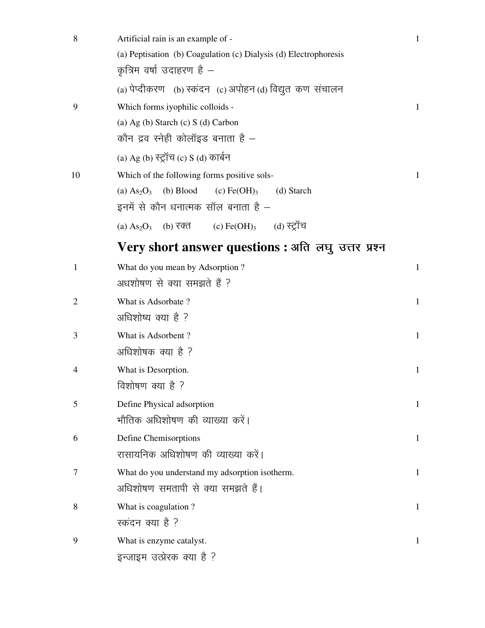| 8              | Artificial rain is an example of -                               | $\mathbf{1}$ |
|----------------|------------------------------------------------------------------|--------------|
|                | (a) Peptisation (b) Coagulation (c) Dialysis (d) Electrophoresis |              |
|                | कृत्रिम वर्षा उदाहरण है $-$                                      |              |
|                | (a) पेप्दीकरण (b) स्कंदन) (c) अपोहन (d) विद्युत कण संचालन        |              |
| 9              | Which forms iyophilic colloids -                                 | $\mathbf{1}$ |
|                | (a) Ag (b) Starch (c) S (d) Carbon                               |              |
|                | कौन द्रव स्नेही कोलॉइड बनाता है $-$                              |              |
|                | (a) Ag (b) स्ट्रॉच (c) S (d) कार्बन                              |              |
| 10             | Which of the following forms positive sols-                      | $\mathbf{1}$ |
|                | (b) Blood<br>$(c) \text{Fe(OH)}_3$<br>(a) $As2O3$<br>(d) Starch  |              |
|                | इनमें से कौन धनात्मक सॉल बनाता है –                              |              |
|                | (b) रक्त (c) Fe(OH)3 (d) स्ट्रॉच<br>(a) $As2O3$                  |              |
|                | Very short answer questions : अति लघु उत्तर प्रश्न               |              |
| $\mathbf{1}$   | What do you mean by Adsorption?                                  | $\mathbf{1}$ |
|                | अधशोषण से क्या समझते हैं ?                                       |              |
| $\overline{2}$ | What is Adsorbate?                                               | $\mathbf{1}$ |
|                | अधिशोष्य क्या है ?                                               |              |
| 3              | What is Adsorbent?                                               | $\mathbf{1}$ |
|                | अधिशोषक क्या है ?                                                |              |
| 4              | What is Desorption.                                              | $\mathbf{1}$ |
|                | विशोषण क्या है ?                                                 |              |
| 5              | Define Physical adsorption                                       | 1            |
|                | भौतिक अधिशोषण की व्याख्या करें।                                  |              |
| 6              | Define Chemisorptions                                            | $\mathbf{1}$ |
|                | रासायनिक अधिशोषण की व्याख्या करें।                               |              |
| 7              | What do you understand my adsorption isotherm.                   | $\mathbf{1}$ |
|                | अधिशोषण समतापी से क्या समझते हैं।                                |              |
| 8              | What is coagulation?                                             | $\mathbf{1}$ |
|                | स्कंदन क्या है ?                                                 |              |
| 9              | What is enzyme catalyst.                                         | $\mathbf{1}$ |
|                | इन्जाइम उत्प्रेरक क्या है ?                                      |              |
|                |                                                                  |              |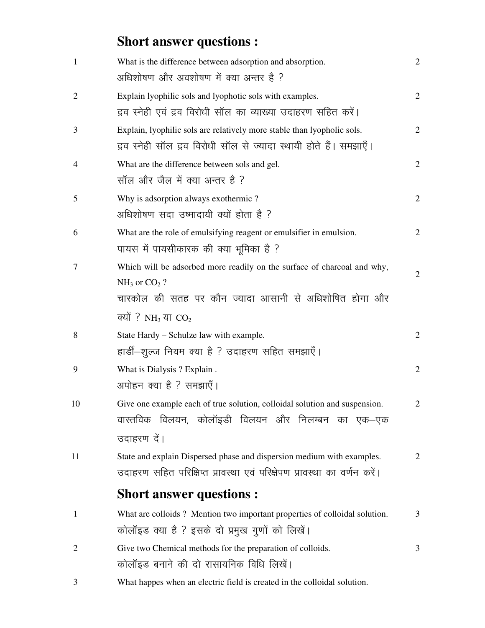# **Short answer questions :**

| $\mathbf{1}$ | What is the difference between adsorption and absorption.                                                                                     | $\overline{2}$ |
|--------------|-----------------------------------------------------------------------------------------------------------------------------------------------|----------------|
|              | अधिशोषण और अवशोषण में क्या अन्तर है ?                                                                                                         |                |
| 2            | Explain lyophilic sols and lyophotic sols with examples.                                                                                      | $\overline{2}$ |
|              | द्रव स्नेही एवं द्रव विरोधी सॉल का व्याख्या उदाहरण सहित करें।                                                                                 |                |
| 3            | Explain, lyophilic sols are relatively more stable than lyopholic sols.<br>द्रव स्नेही सॉल द्रव विरोधी सॉल से ज्यादा स्थायी होते हैं। समझाएँ। | $\overline{2}$ |
| 4            | What are the difference between sols and gel.<br>सॉल और जैल में क्या अन्तर है ?                                                               | $\overline{2}$ |
| 5            | Why is adsorption always exothermic?<br>अधिशोषण सदा उष्मादायी क्यों होता है ?                                                                 | $\overline{2}$ |
| 6            | What are the role of emulsifying reagent or emulsifier in emulsion.<br>पायस में पायसीकारक की क्या भूमिका है ?                                 | $\overline{2}$ |
| 7            | Which will be adsorbed more readily on the surface of charcoal and why,<br>$NH3$ or $CO2$ ?                                                   | $\mathbf{2}$   |
|              | चारकोल की सतह पर कौन ज्यादा आसानी से अधिशोषित होगा और                                                                                         |                |
|              | क्यों ? NH <sub>3</sub> या $CO2$                                                                                                              |                |
| 8            | State Hardy - Schulze law with example.                                                                                                       | $\overline{2}$ |
|              | हार्डी–शुल्ज नियम क्या है ? उदाहरण सहित समझाएँ।                                                                                               |                |
| 9            | What is Dialysis? Explain.                                                                                                                    | $\mathbf{2}$   |
|              | अपोहन क्या है ? समझाएँ।                                                                                                                       |                |
| 10           | Give one example each of true solution, colloidal solution and suspension.<br>वास्तविक विलयन, कोलॉइडी विलयन और निलम्बन का एक–एक               | 2              |
|              | उदाहरण दें।                                                                                                                                   |                |
| 11           | State and explain Dispersed phase and dispersion medium with examples.                                                                        | $\overline{2}$ |
|              | उदाहरण सहित परिक्षिप्त प्रावस्था एवं परिक्षेपण प्रावस्था का वर्णन करें।                                                                       |                |
|              | <b>Short answer questions:</b>                                                                                                                |                |
| $\mathbf{1}$ | What are colloids? Mention two important properties of colloidal solution.                                                                    | 3              |
|              | कोलॉइड क्या है ? इसके दो प्रमुख गुणों को लिखें।                                                                                               |                |
| 2            | Give two Chemical methods for the preparation of colloids.                                                                                    | 3              |
|              | कोलॉइड बनाने की दो रासायनिक विधि लिखें।                                                                                                       |                |
| 3            | What happes when an electric field is created in the colloidal solution.                                                                      |                |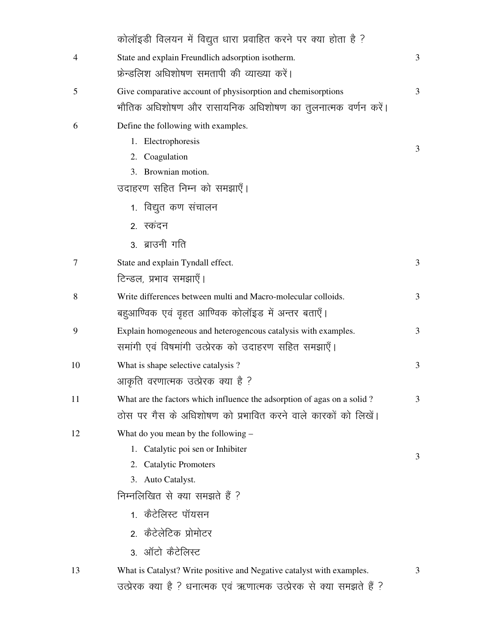|    | कोलॉइडी विलयन में विद्युत धारा प्रवाहित करने पर क्या होता है ?          |   |
|----|-------------------------------------------------------------------------|---|
| 4  | State and explain Freundlich adsorption isotherm.                       | 3 |
|    | फ्रेन्डलिश अधिशोषण समतापी की व्याख्या करें।                             |   |
| 5  | Give comparative account of physisorption and chemisorptions            | 3 |
|    | भौतिक अधिशोषण और रासायनिक अधिशोषण का तुलनात्मक वर्णन करें।              |   |
| 6  | Define the following with examples.                                     |   |
|    | 1. Electrophoresis                                                      | 3 |
|    | 2. Coagulation                                                          |   |
|    | 3. Brownian motion.                                                     |   |
|    | उदाहरण सहित निम्न को समझाएँ।                                            |   |
|    | 1. विद्युत कण संचालन                                                    |   |
|    | 2. स्कंदन                                                               |   |
|    | 3. ब्राउनी गति                                                          |   |
| 7  | State and explain Tyndall effect.                                       | 3 |
|    | टिन्डल, प्रभाव समझाएँ।                                                  |   |
| 8  | Write differences between multi and Macro-molecular colloids.           | 3 |
|    | बहुआण्विक एवं वृहत आण्विक कोलॉइड में अन्तर बताएँ।                       |   |
| 9  | Explain homogeneous and heterogencous catalysis with examples.          | 3 |
|    | समांगी एवं विषमांगी उत्प्रेरक को उदाहरण सहित समझाएँ।                    |   |
| 10 | What is shape selective catalysis?                                      | 3 |
|    | आकृति वरणात्मक उत्प्रेरक क्या है ?                                      |   |
| 11 | What are the factors which influence the adsorption of agas on a solid? | 3 |
|    | ठोस पर गैस के अधिशोषण को प्रभावित करने वाले कारकों को लिखें।            |   |
| 12 | What do you mean by the following -                                     |   |
|    | 1. Catalytic poi sen or Inhibiter                                       | 3 |
|    | 2. Catalytic Promoters                                                  |   |
|    | 3. Auto Catalyst.                                                       |   |
|    | निम्नलिखित से क्या समझते हैं ?                                          |   |
|    | 1. कैटेलिस्ट पॉयसन                                                      |   |
|    | २. कैटेलेटिक प्रोमोटर                                                   |   |
|    | 3. ऑटो कैटेलिस्ट                                                        |   |
| 13 | What is Catalyst? Write positive and Negative catalyst with examples.   | 3 |
|    | उत्प्रेरक क्या है ? धनात्मक एवं ऋणात्मक उत्प्रेरक से क्या समझते हैं ?   |   |